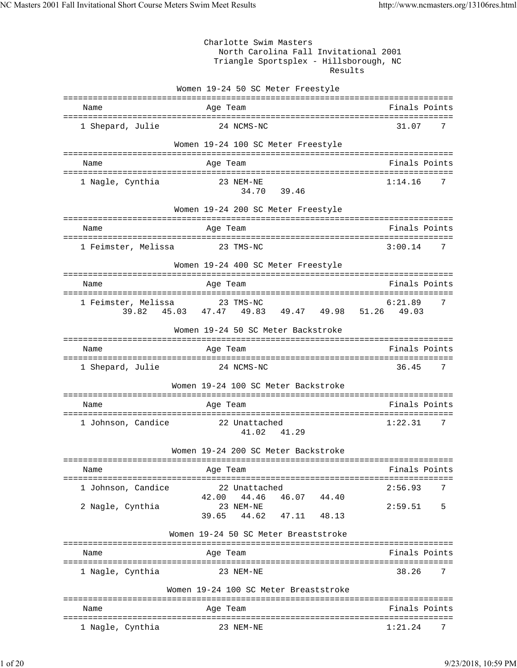Charlotte Swim Masters North Carolina Fall Invitational 2001 Triangle Sportsplex - Hillsborough, NC Results Women 19-24 50 SC Meter Freestyle =============================================================================== Name **Age Team** Age Team Finals Points =============================================================================== 1 Shepard, Julie 24 NCMS-NC 31.07 7 Women 19-24 100 SC Meter Freestyle =============================================================================== Age Team =============================================================================== 1 Nagle, Cynthia 34.70 39.46 Women 19-24 200 SC Meter Freestyle =============================================================================== Name **Age Team** Age Team **Finals Points** =============================================================================== 1 Feimster, Melissa 23 TMS-NC 3:00.14 7 Women 19-24 400 SC Meter Freestyle =============================================================================== Name Age Team Age Team Finals Points =============================================================================== 1 Feimster, Melissa 23 TMS-NC 6:21.89 7 39.82 45.03 47.47 49.83 49.47 49.98 51.26 49.03 Women 19-24 50 SC Meter Backstroke =============================================================================== Name Age Team Age Team Finals Points Points Age Team Age of the Manual Points Points Points Points Points Points =============================================================================== 1 Shepard, Julie 24 NCMS-NC 36.45 Women 19-24 100 SC Meter Backstroke =============================================================================== Name Age Team Age Team Finals Points =============================================================================== 1 Johnson, Candice 22 Unattached 1:22.31 7 41.02 41.29 Women 19-24 200 SC Meter Backstroke =============================================================================== Name **Age Team** Age Team Finals Points =============================================================================== 1 Johnson, Candice 22 Unattached 2:56.93 7 42.00 44.46 46.07 44.40 2 Nagle, Cynthia 23 NEM-NE 2:59.51 5 39.65 44.62 47.11 48.13 Women 19-24 50 SC Meter Breaststroke =============================================================================== Name **Age Team** Age Team Finals Points =============================================================================== 1 Nagle, Cynthia 23 NEM-NE 38.26 7 Women 19-24 100 SC Meter Breaststroke =============================================================================== Age Team =============================================================================== 1 Nagle, Cynthia 23 NEM-NE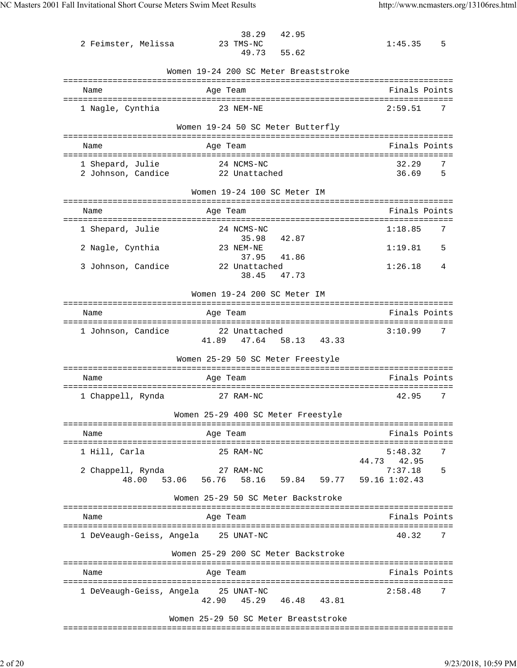| 2 Feimster, Melissa                    | 42.95<br>38.29<br>23 TMS-NC<br>49.73<br>55.62                                  | 5<br>1:45.35             |
|----------------------------------------|--------------------------------------------------------------------------------|--------------------------|
|                                        | Women 19-24 200 SC Meter Breaststroke                                          |                          |
| Name                                   | Age Team                                                                       | Finals Points            |
|                                        |                                                                                |                          |
| 1 Nagle, Cynthia                       | 23 NEM-NE                                                                      | 2:59.51<br>7             |
|                                        | Women 19-24 50 SC Meter Butterfly                                              |                          |
| Name                                   | Aqe Team                                                                       | Finals Points            |
|                                        |                                                                                |                          |
| 1 Shepard, Julie<br>2 Johnson, Candice | 24 NCMS-NC<br>22 Unattached                                                    | 32.29<br>7<br>36.69<br>5 |
|                                        | Women 19-24 100 SC Meter IM                                                    |                          |
| Name                                   | ============<br>Age Team                                                       | Finals Points            |
|                                        |                                                                                |                          |
| 1 Shepard, Julie                       | 24 NCMS-NC<br>35.98<br>42.87                                                   | 1:18.85<br>7             |
| 2 Nagle, Cynthia                       | 23 NEM-NE                                                                      | 1:19.81<br>5             |
| 3 Johnson, Candice                     | 37.95<br>41.86<br>22 Unattached                                                | 1:26.18<br>4             |
|                                        | 38.45<br>47.73                                                                 |                          |
|                                        | Women 19-24 200 SC Meter IM<br>-------------                                   |                          |
|                                        | Age Team                                                                       | Finals Points            |
| Name                                   |                                                                                |                          |
| 1 Johnson, Candice                     | ===============================<br>22 Unattached<br>41.89<br>47.64 58.13 43.33 | 7<br>3:10.99             |
|                                        | Women 25-29 50 SC Meter Freestyle                                              |                          |
| Name                                   | Age Team                                                                       | Finals Points            |
|                                        |                                                                                |                          |
| 1 Chappell, Rynda                      | 27 RAM-NC                                                                      | 42.95<br>7               |
|                                        | Women 25-29 400 SC Meter Freestyle                                             |                          |
| Name                                   | Age Team                                                                       | Finals Points            |
| 1 Hill, Carla                          | 25 RAM-NC                                                                      | 5:48.32<br>7             |
|                                        |                                                                                | 44.73<br>42.95           |
| 2 Chappell, Rynda                      | 27 RAM-NC<br>48.00 53.06 56.76 58.16<br>59.84 59.77 59.16 1:02.43              | 7:37.18<br>5             |
|                                        | Women 25-29 50 SC Meter Backstroke                                             |                          |
| Name                                   | Age Team                                                                       | Finals Points            |
|                                        |                                                                                |                          |
| 1 DeVeaugh-Geiss, Angela               | 25 UNAT-NC                                                                     | 40.32<br>7               |
|                                        | Women 25-29 200 SC Meter Backstroke                                            |                          |
| Name                                   | Age Team                                                                       | Finals Points            |
| 1 DeVeaugh-Geiss, Angela               | 25 UNAT-NC                                                                     | 2:58.48<br>7             |

Women 25-29 50 SC Meter Breaststroke

===============================================================================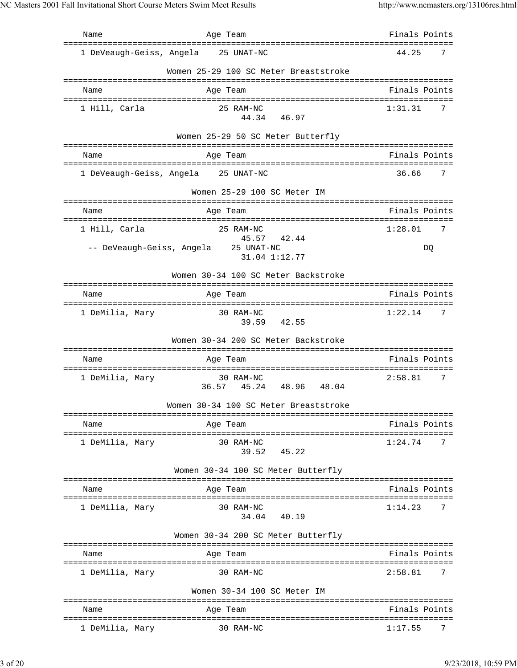Name Age Team Finals Points =============================================================================== 1 DeVeaugh-Geiss, Angela 25 UNAT-NC 44.25 7 Women 25-29 100 SC Meter Breaststroke =============================================================================== Name Age Team Finals Points =============================================================================== 1 Hill, Carla 25 RAM-NC 1:31.31 7 44.34 46.97 Women 25-29 50 SC Meter Butterfly =============================================================================== Name Age Team =============================================================================== 1 DeVeaugh-Geiss, Angela 25 UNAT-NC 36.66 7 Women 25-29 100 SC Meter IM =============================================================================== Name Age Team Finals Points =============================================================================== 1 Hill, Carla 25 RAM-NC 1:28.01 7 45.57 42.44 -- DeVeaugh-Geiss, Angela 25 UNAT-NC DQ 31.04 1:12.77 Women 30-34 100 SC Meter Backstroke =============================================================================== Name Age Team Age Team Finals Points =============================================================================== 1 DeMilia, Mary 30 RAM-NC 1:22.14 7 39.59 42.55 Women 30-34 200 SC Meter Backstroke =============================================================================== Name **Age Team** Age Team Finals Points =============================================================================== 1 DeMilia, Mary 30 RAM-NC 36.57 45.24 48.96 48.04 Women 30-34 100 SC Meter Breaststroke =============================================================================== Name Age Team Finals Points =============================================================================== 1 DeMilia, Mary 30 RAM-NC 1:24.74 7 39.52 45.22 Women 30-34 100 SC Meter Butterfly =============================================================================== Name Age Team Age Team Finals Points =============================================================================== 1 DeMilia, Mary 30 RAM-NC 1:14.23 7 34.04 40.19 Women 30-34 200 SC Meter Butterfly =============================================================================== Name Age Team Finals Points =============================================================================== 1 DeMilia, Mary 30 RAM-NC 2:58.81 7 Women 30-34 100 SC Meter IM =============================================================================== Name **Age Team** Age Team Finals Points =============================================================================== 1 DeMilia, Mary 30 RAM-NC 1:17.55 7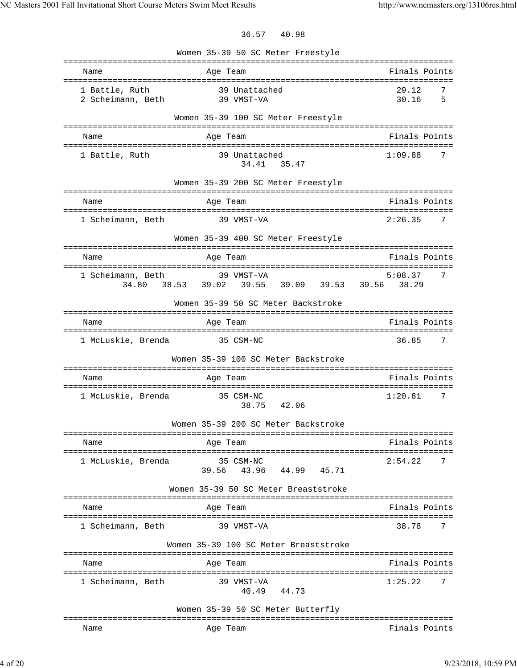36.57 40.98

|                                                             | Women 35-39 50 SC Meter Freestyle                                |                          |
|-------------------------------------------------------------|------------------------------------------------------------------|--------------------------|
| Name                                                        | Age Team                                                         | Finals Points            |
| 1 Battle, Ruth<br>2 Scheimann, Beth                         | 39 Unattached<br>39 VMST-VA                                      | 29.12<br>7<br>5<br>30.16 |
|                                                             | Women 35-39 100 SC Meter Freestyle                               |                          |
| Name                                                        | Age Team                                                         | Finals Points            |
| 1 Battle, Ruth                                              | 39 Unattached<br>34.41 35.47                                     | 1:09.88<br>7             |
|                                                             | Women 35-39 200 SC Meter Freestyle                               |                          |
| Name                                                        | Age Team                                                         | Finals Points            |
| ======================================<br>1 Scheimann, Beth | ================================<br>39 VMST-VA                   | 2:26.35<br>7             |
|                                                             | Women 35-39 400 SC Meter Freestyle                               |                          |
| Name                                                        | Age Team                                                         | Finals Points            |
| 1 Scheimann, Beth                                           | 39 VMST-VA<br>39.55 39.09 39.53 39.56 38.29<br>34.80 38.53 39.02 | 5:08.37<br>7             |
|                                                             | Women 35-39 50 SC Meter Backstroke                               |                          |
| =============<br>Name                                       | Age Team                                                         | Finals Points            |
| 1 McLuskie, Brenda                                          | 35 CSM-NC                                                        | 36.85<br>7               |
|                                                             | Women 35-39 100 SC Meter Backstroke                              |                          |
| Name                                                        | Age Team                                                         | Finals Points            |
| 1 McLuskie, Brenda                                          | 35 CSM-NC<br>38.75<br>42.06                                      | 1:20.81<br>7             |
|                                                             | Women 35-39 200 SC Meter Backstroke                              |                          |
| Name                                                        | Age Team                                                         | Finals Points            |
| 1 McLuskie, Brenda                                          | 35 CSM-NC<br>44.99 45.71<br>39.56 43.96                          | 2:54.22<br>7             |
|                                                             | Women 35-39 50 SC Meter Breaststroke                             |                          |
| Name                                                        | Age Team                                                         | Finals Points            |
| 1 Scheimann, Beth                                           | 39 VMST-VA                                                       | 38.78<br>7               |
|                                                             | Women 35-39 100 SC Meter Breaststroke                            |                          |
| Name                                                        | Age Team                                                         | Finals Points            |
| 1 Scheimann, Beth                                           | 39 VMST-VA<br>40.49 44.73                                        | 1:25.22<br>7             |
|                                                             | Women 35-39 50 SC Meter Butterfly                                |                          |
| Name                                                        | Age Team                                                         | Finals Points            |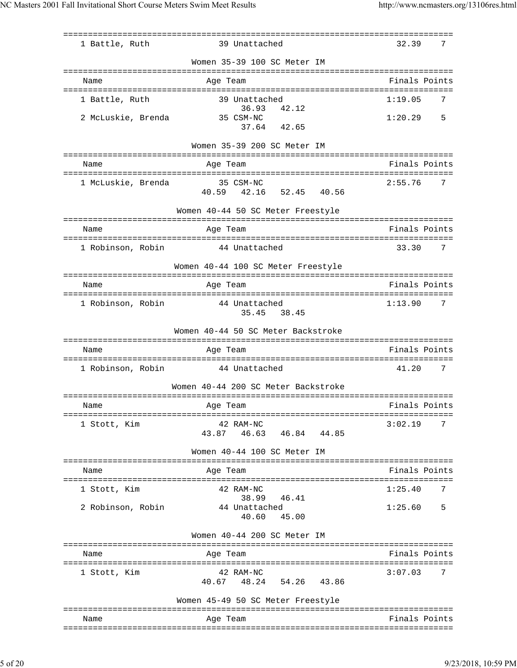|                    |                                                                                              | =====================              |
|--------------------|----------------------------------------------------------------------------------------------|------------------------------------|
| 1 Battle, Ruth     | 39 Unattached                                                                                | 32.39<br>7                         |
|                    | Women 35-39 100 SC Meter IM                                                                  |                                    |
| Name               | Age Team                                                                                     | Finals Points                      |
| 1 Battle, Ruth     | 39 Unattached                                                                                | 1:19.05<br>7                       |
| 2 McLuskie, Brenda | 36.93<br>42.12<br>35 CSM-NC                                                                  | 5<br>1:20.29                       |
|                    | 37.64<br>42.65                                                                               |                                    |
|                    | Women 35-39 200 SC Meter IM<br>===================<br>-------------------------------------- |                                    |
| Name               | Age Team                                                                                     | Finals Points                      |
| 1 McLuskie, Brenda | 35 CSM-NC<br>52.45 40.56<br>40.59 42.16                                                      | 2:55.76<br>7                       |
|                    | Women 40-44 50 SC Meter Freestyle                                                            |                                    |
| Name               | Age Team                                                                                     | Finals Points                      |
| 1 Robinson, Robin  | 44 Unattached                                                                                | 33.30<br>7                         |
|                    | Women 40-44 100 SC Meter Freestyle                                                           |                                    |
| Name               | Age Team                                                                                     | Finals Points                      |
| 1 Robinson, Robin  | 44 Unattached<br>35.45 38.45                                                                 | 1:13.90<br>7                       |
|                    | Women 40-44 50 SC Meter Backstroke                                                           |                                    |
| Name               | Age Team                                                                                     | Finals Points                      |
| 1 Robinson, Robin  | 44 Unattached                                                                                | 41.20<br>7                         |
|                    | Women 40-44 200 SC Meter Backstroke                                                          |                                    |
| Name               | Age Team                                                                                     | Finals Points                      |
| 1 Stott, Kim       | 42 RAM-NC<br>43.87 46.63 46.84 44.85                                                         | 3:02.19<br>7                       |
|                    | Women 40-44 100 SC Meter IM                                                                  |                                    |
|                    |                                                                                              |                                    |
| Name               | Age Team                                                                                     | Finals Points                      |
| 1 Stott, Kim       | 42 RAM-NC<br>38.99<br>46.41                                                                  | 1:25.40<br>7                       |
| 2 Robinson, Robin  | 44 Unattached<br>40.60<br>45.00                                                              | 1:25.60<br>5                       |
|                    | Women 40-44 200 SC Meter IM                                                                  |                                    |
| Name               | Age Team                                                                                     | Finals Points                      |
| 1 Stott, Kim       | 42 RAM-NC<br>40.67 48.24 54.26 43.86                                                         | ------------------<br>3:07.03<br>7 |
|                    | Women 45-49 50 SC Meter Freestyle                                                            |                                    |
| Name               | Age Team                                                                                     | Finals Points                      |
|                    |                                                                                              |                                    |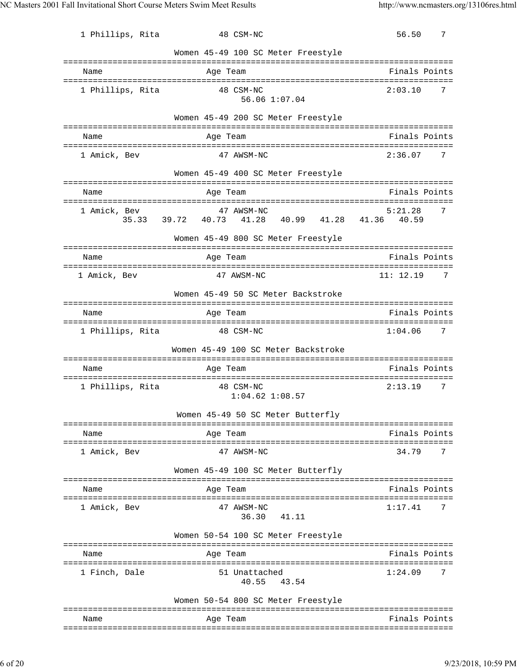| 1 Phillips, Rita      | 48 CSM-NC                                                              | 56.50<br>7                           |
|-----------------------|------------------------------------------------------------------------|--------------------------------------|
|                       | Women 45-49 100 SC Meter Freestyle                                     |                                      |
| Name                  | Age Team                                                               | Finals Points                        |
| 1 Phillips, Rita      | 48 CSM-NC<br>56.06 1:07.04                                             | 2:03.10<br>7                         |
|                       | Women 45-49 200 SC Meter Freestyle                                     |                                      |
| Name                  | Age Team                                                               | Finals Points                        |
| 1 Amick, Bev          | 47 AWSM-NC                                                             | 2:36.07<br>7                         |
|                       | Women 45-49 400 SC Meter Freestyle                                     |                                      |
| Name                  | Age Team                                                               | Finals Points                        |
| 1 Amick, Bev<br>35.33 | 47 AWSM-NC<br>39.72 40.73<br>40.99<br>41.28                            | 5:21.28<br>7<br>41.28 41.36<br>40.59 |
|                       | Women 45-49 800 SC Meter Freestyle                                     |                                      |
| Name                  | Age Team                                                               | Finals Points                        |
| 1 Amick, Bev          | 47 AWSM-NC                                                             | 11: 12.19<br>7                       |
| ============          | Women 45-49 50 SC Meter Backstroke                                     |                                      |
| Name                  | Age Team                                                               | Finals Points                        |
| 1 Phillips, Rita      | 48 CSM-NC                                                              | 1:04.06<br>7                         |
|                       | Women 45-49 100 SC Meter Backstroke                                    |                                      |
| Name                  | Age Team                                                               | Finals Points                        |
| 1 Phillips, Rita      | 48 CSM-NC<br>$1:04.62$ $1:08.57$                                       | 2:13.19<br>7                         |
|                       | Women 45-49 50 SC Meter Butterfly                                      |                                      |
| Name                  | Age Team                                                               | Finals Points                        |
| 1 Amick, Bev          | 47 AWSM-NC                                                             | 34.79<br>7                           |
|                       | Women 45-49 100 SC Meter Butterfly<br>================================ | ===========                          |
| Name<br>===========   | Age Team                                                               | Finals Points                        |
| 1 Amick, Bev          | 47 AWSM-NC<br>36.30 41.11                                              | 1:17.41<br>7                         |
|                       | Women 50-54 100 SC Meter Freestyle                                     |                                      |
| Name                  | Age Team                                                               | Finals Points                        |
| 1 Finch, Dale         | 51 Unattached<br>40.55 43.54                                           | 1:24.09<br>7                         |
|                       | Women 50-54 800 SC Meter Freestyle                                     |                                      |
| Name                  | Age Team                                                               | Finals Points                        |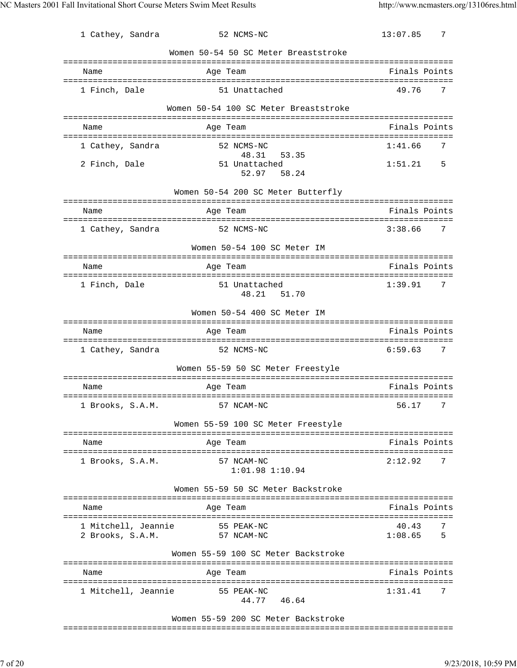| 1 Cathey, Sandra                        | 52 NCMS-NC                                  | 13:07.85<br>7                      |
|-----------------------------------------|---------------------------------------------|------------------------------------|
|                                         | Women 50-54 50 SC Meter Breaststroke        |                                    |
|                                         |                                             |                                    |
| Name                                    | Age Team                                    | Finals Points                      |
| 1 Finch, Dale                           | 51 Unattached                               | 49.76<br>7                         |
|                                         | Women 50-54 100 SC Meter Breaststroke       |                                    |
| Name                                    | Age Team                                    | Finals Points                      |
| 1 Cathey, Sandra                        | 52 NCMS-NC                                  | 1:41.66<br>7                       |
| 2 Finch, Dale                           | 48.31 53.35<br>51 Unattached<br>52.97 58.24 | 1:51.21<br>5                       |
|                                         | Women 50-54 200 SC Meter Butterfly          |                                    |
| Name                                    | Age Team                                    | Finals Points                      |
| 1 Cathey, Sandra                        | 52 NCMS-NC                                  | 3:38.66<br>7                       |
|                                         | Women 50-54 100 SC Meter IM                 |                                    |
|                                         |                                             |                                    |
| Name                                    | Age Team                                    | Finals Points                      |
| 1 Finch, Dale                           | 51 Unattached<br>51.70<br>48.21             | 1:39.91<br>7                       |
|                                         | Women 50-54 400 SC Meter IM                 |                                    |
| Name                                    | Age Team                                    | Finals Points                      |
|                                         |                                             |                                    |
| 1 Cathey, Sandra                        | 52 NCMS-NC                                  | 6:59.63<br>7                       |
|                                         | Women 55-59 50 SC Meter Freestyle           |                                    |
| Name                                    | Age Team                                    | Finals Points                      |
|                                         |                                             |                                    |
|                                         | 1 Brooks, S.A.M. 57 NCAM-NC                 | 56.17<br>7                         |
|                                         | Women 55-59 100 SC Meter Freestyle          |                                    |
| Name                                    | Age Team                                    | Finals Points                      |
| 1 Brooks, S.A.M.                        | 57 NCAM-NC<br>$1:01.98$ $1:10.94$           | 2:12.92<br>7                       |
|                                         | Women 55-59 50 SC Meter Backstroke          |                                    |
| Name                                    | Age Team                                    | Finals Points                      |
|                                         |                                             |                                    |
| 1 Mitchell, Jeannie<br>2 Brooks, S.A.M. | 55 PEAK-NC<br>57 NCAM-NC                    | 40.43<br>7<br>1:08.65<br>5         |
|                                         | Women 55-59 100 SC Meter Backstroke         |                                    |
| Name                                    | Age Team                                    | Finals Points                      |
| 1 Mitchell, Jeannie                     | 55 PEAK-NC<br>44.77 46.64                   | :=================<br>7<br>1:31.41 |
|                                         |                                             |                                    |

Women 55-59 200 SC Meter Backstroke

===============================================================================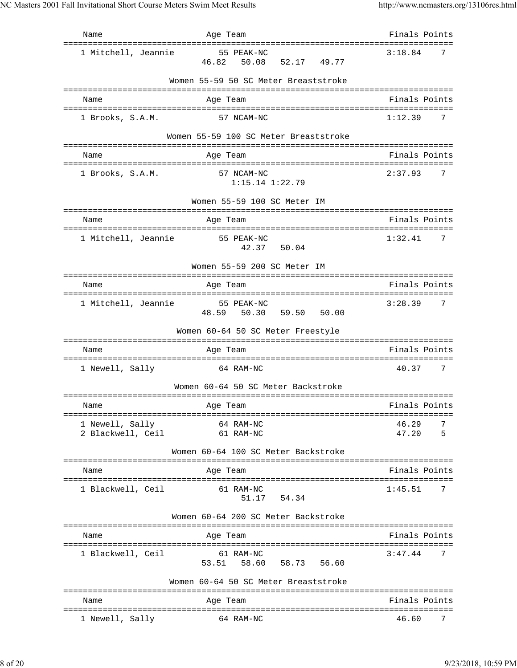| Name                                                        | Age Team                                | Finals Points            |
|-------------------------------------------------------------|-----------------------------------------|--------------------------|
| ====================================<br>1 Mitchell, Jeannie | 55 PEAK-NC<br>46.82 50.08 52.17 49.77   | 3:18.84<br>7             |
|                                                             | Women 55-59 50 SC Meter Breaststroke    |                          |
| Name                                                        | Age Team                                | Finals Points            |
| 1 Brooks, S.A.M.                                            | 57 NCAM-NC                              | 1:12.39<br>7             |
|                                                             | Women 55-59 100 SC Meter Breaststroke   |                          |
| Name                                                        | Age Team                                | Finals Points            |
| 1 Brooks, S.A.M.                                            | 57 NCAM-NC<br>$1:15.14$ $1:22.79$       | 2:37.93<br>7             |
|                                                             | Women 55-59 100 SC Meter IM             |                          |
| Name                                                        | Age Team                                | Finals Points            |
| 1 Mitchell, Jeannie                                         | 55 PEAK-NC<br>42.37 50.04               | 1:32.41<br>7             |
|                                                             | Women 55-59 200 SC Meter IM             |                          |
| Name                                                        | Age Team                                | Finals Points            |
| 1 Mitchell, Jeannie                                         | 55 PEAK-NC<br>48.59 50.30 59.50 50.00   | 3:28.39<br>7             |
|                                                             | Women 60-64 50 SC Meter Freestyle       |                          |
| Name                                                        | Age Team                                | Finals Points            |
| 1 Newell, Sally                                             | 64 RAM-NC                               | 40.37<br>7               |
|                                                             | Women 60-64 50 SC Meter Backstroke      |                          |
| Name                                                        | Age Team                                | Finals Points            |
|                                                             |                                         |                          |
| 1 Newell, Sally<br>2 Blackwell, Ceil                        | 64 RAM-NC<br>61 RAM-NC                  | 46.29<br>7<br>47.20<br>5 |
|                                                             | Women 60-64 100 SC Meter Backstroke     |                          |
| Name                                                        | Age Team                                | Finals Points            |
| 1 Blackwell, Ceil                                           | 61 RAM-NC<br>51.17 54.34                | 1:45.51<br>7             |
|                                                             | Women 60-64 200 SC Meter Backstroke     |                          |
| Name                                                        | Age Team                                | Finals Points            |
| 1 Blackwell, Ceil                                           | 61 RAM-NC<br>53.51  58.60  58.73  56.60 | 3:47.44<br>7             |
|                                                             | Women 60-64 50 SC Meter Breaststroke    |                          |
| Name                                                        | Age Team                                | Finals Points            |
| 1 Newell, Sally                                             | 64 RAM-NC                               | 46.60<br>7               |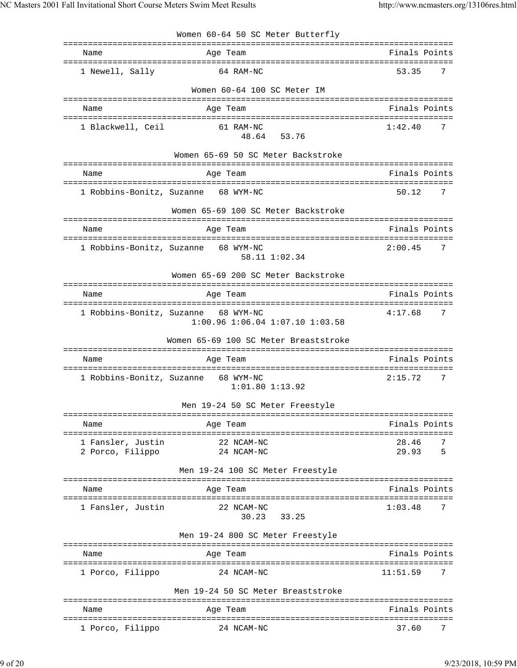|                                       | Women 60-64 50 SC Meter Butterfly                                              |                          |
|---------------------------------------|--------------------------------------------------------------------------------|--------------------------|
| Name                                  | Age Team                                                                       | Finals Points            |
| 1 Newell, Sally                       | 64 RAM-NC                                                                      | 53.35<br>7               |
|                                       | Women 60-64 100 SC Meter IM                                                    |                          |
| Name                                  | Age Team                                                                       | Finals Points            |
| 1 Blackwell, Ceil                     | 61 RAM-NC<br>53.76<br>48.64                                                    | 1:42.40<br>7             |
|                                       | Women 65-69 50 SC Meter Backstroke                                             |                          |
| Name                                  | Age Team                                                                       | Finals Points            |
|                                       | 1 Robbins-Bonitz, Suzanne 68 WYM-NC                                            | 50.12<br>7               |
|                                       | Women 65-69 100 SC Meter Backstroke                                            |                          |
| Name                                  | Age Team                                                                       | Finals Points            |
| 1 Robbins-Bonitz, Suzanne             | 68 WYM-NC<br>58.11 1:02.34                                                     | 2:00.45<br>7             |
|                                       | Women 65-69 200 SC Meter Backstroke                                            |                          |
| Name                                  | Age Team                                                                       | Finals Points            |
|                                       | 1 Robbins-Bonitz, Suzanne 68 WYM-NC<br>$1:00.96$ $1:06.04$ $1:07.10$ $1:03.58$ | 4:17.68<br>7             |
|                                       | Women 65-69 100 SC Meter Breaststroke                                          |                          |
| Name                                  | Age Team                                                                       | Finals Points            |
| 1 Robbins-Bonitz, Suzanne             | 68 WYM-NC<br>$1:01.80$ $1:13.92$                                               | 2:15.72<br>7             |
|                                       | Men 19-24 50 SC Meter Freestyle                                                |                          |
| Name                                  | Age Team                                                                       | Finals Points            |
| 1 Fansler, Justin<br>2 Porco, Filippo | 22 NCAM-NC<br>24 NCAM-NC                                                       | 28.46<br>7<br>29.93<br>5 |
|                                       | Men 19-24 100 SC Meter Freestyle                                               |                          |
| Name                                  | Age Team                                                                       | Finals Points            |
| 1 Fansler, Justin                     | 22 NCAM-NC<br>33.25<br>30.23                                                   | 7<br>1:03.48             |
|                                       | Men 19-24 800 SC Meter Freestyle                                               |                          |
| Name                                  | Age Team                                                                       | Finals Points            |
| 1 Porco, Filippo                      | 24 NCAM-NC                                                                     | 11:51.59<br>7            |
|                                       | Men 19-24 50 SC Meter Breaststroke                                             |                          |
| Name                                  | Age Team                                                                       | Finals Points            |
| 1 Porco, Filippo                      | 24 NCAM-NC                                                                     | 37.60<br>7               |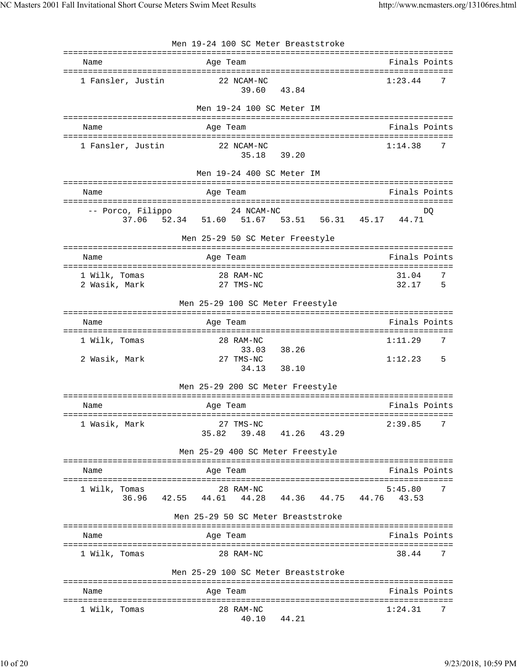|                                  | Men 19-24 100 SC Meter Breaststroke                     |                                     |
|----------------------------------|---------------------------------------------------------|-------------------------------------|
| Name                             | Age Team                                                | Finals Points                       |
| 1 Fansler, Justin                | 22 NCAM-NC<br>39.60<br>43.84                            | 1:23.44<br>7                        |
|                                  | Men 19-24 100 SC Meter IM                               |                                     |
| Name                             | Age Team                                                | Finals Points                       |
| 1 Fansler, Justin                | 22 NCAM-NC<br>35.18<br>39.20                            | 1:14.38<br>7                        |
|                                  | Men 19-24 400 SC Meter IM                               |                                     |
| Name                             | Age Team                                                | Finals Points                       |
| -- Porco, Filippo                | 24 NCAM-NC<br>37.06 52.34 51.60 51.67 53.51 56.31 45.17 | DQ<br>44.71                         |
|                                  | Men 25-29 50 SC Meter Freestyle                         |                                     |
| Name                             | Age Team                                                | Finals Points                       |
| 1 Wilk, Tomas<br>2 Wasik, Mark   | 28 RAM-NC<br>27 TMS-NC                                  | 31.04<br>7<br>32.17<br>5            |
|                                  | Men 25-29 100 SC Meter Freestyle                        |                                     |
| Name                             | Age Team<br>:==============                             | Finals Points<br>================== |
| 1 Wilk, Tomas                    | 28 RAM-NC<br>38.26<br>33.03                             | 1:11.29<br>7                        |
| 2 Wasik, Mark                    | 27 TMS-NC<br>34.13<br>38.10                             | 1:12.23<br>5                        |
|                                  | Men 25-29 200 SC Meter Freestyle                        |                                     |
| Name                             | Age Team                                                | Finals Points                       |
| 1 Wasik, Mark                    | 27 TMS-NC<br>35.82<br>39.48<br>41.26 43.29              | 2:39.85<br>7                        |
|                                  | Men 25-29 400 SC Meter Freestyle                        |                                     |
| Name                             | Age Team                                                | Finals Points                       |
| 1 Wilk, Tomas<br>36.96<br>42.55  | 28 RAM-NC<br>44.61<br>44.28<br>44.36<br>44.75           | 5:45.80<br>7<br>44.76<br>43.53      |
|                                  | Men 25-29 50 SC Meter Breaststroke                      |                                     |
| Name                             | Age Team                                                | Finals Points                       |
| 1 Wilk, Tomas                    | 28 RAM-NC                                               | 38.44<br>7                          |
|                                  | Men 25-29 100 SC Meter Breaststroke                     |                                     |
| Name                             | Age Team                                                | Finals Points                       |
| :==============<br>1 Wilk, Tomas | =====================<br>28 RAM-NC<br>40.10<br>44.21    | =================<br>1:24.31<br>7   |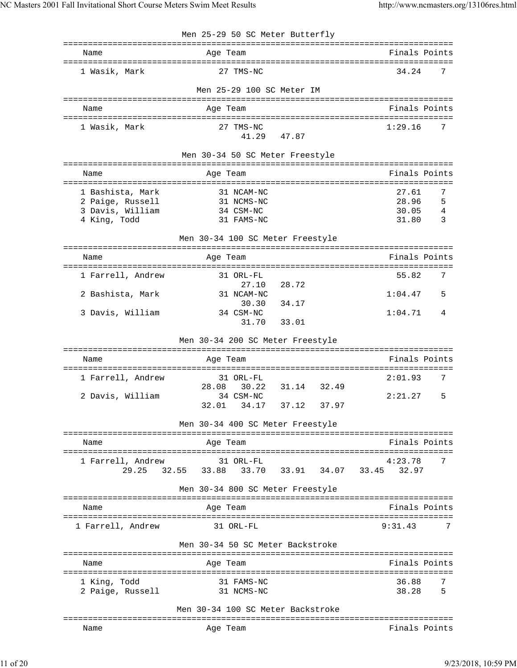| Finals Points<br>Name<br>Age Team<br>7<br>27 TMS-NC<br>34.24<br>1 Wasik, Mark<br>Men 25-29 100 SC Meter IM<br>Finals Points<br>Age Team<br>Name<br>1 Wasik, Mark<br>27 TMS-NC<br>1:29.16<br>7<br>41.29<br>47.87<br>Men 30-34 50 SC Meter Freestyle<br>Finals Points<br>Name<br>Age Team<br>27.61<br>1 Bashista, Mark<br>31 NCAM-NC<br>7<br>28.96<br>5<br>2 Paige, Russell<br>31 NCMS-NC<br>3 Davis, William<br>34 CSM-NC<br>30.05<br>4<br>4 King, Todd<br>31.80<br>31 FAMS-NC<br>3<br>Men 30-34 100 SC Meter Freestyle<br>Finals Points<br>Age Team<br>Name<br>1 Farrell, Andrew<br>7<br>31 ORL-FL<br>55.82<br>28.72<br>27.10<br>31 NCAM-NC<br>1:04.47<br>2 Bashista, Mark<br>5<br>34.17<br>30.30<br>3 Davis, William<br>1:04.71<br>34 CSM-NC<br>4<br>31.70<br>33.01<br>Men 30-34 200 SC Meter Freestyle<br>Finals Points<br>Age Team<br>Name<br>7<br>1 Farrell, Andrew<br>31 ORL-FL<br>2:01.93<br>31.14 32.49<br>28.08<br>30.22<br>2 Davis, William<br>34 CSM-NC<br>2:21.27<br>5<br>Men 30-34 400 SC Meter Freestyle<br>Finals Points<br>Name<br>Age Team<br>7<br>1 Farrell, Andrew<br>31 ORL-FL<br>4:23.78<br>32.55<br>33.91 34.07 33.45<br>29.25<br>33.88<br>33.70<br>32.97<br>Men 30-34 800 SC Meter Freestyle<br>Finals Points<br>Age Team<br>Name<br>1 Farrell, Andrew<br>31 ORL-FL<br>9:31.43<br>7<br>Men 30-34 50 SC Meter Backstroke<br>Name<br>Finals Points<br>Age Team<br>1 King, Todd<br>31 FAMS-NC<br>36.88<br>5<br>38.28<br>2 Paige, Russell<br>31 NCMS-NC<br>Men 30-34 100 SC Meter Backstroke<br>Finals Points<br>Name<br>Age Team | Men 25-29 50 SC Meter Butterfly |  |
|-----------------------------------------------------------------------------------------------------------------------------------------------------------------------------------------------------------------------------------------------------------------------------------------------------------------------------------------------------------------------------------------------------------------------------------------------------------------------------------------------------------------------------------------------------------------------------------------------------------------------------------------------------------------------------------------------------------------------------------------------------------------------------------------------------------------------------------------------------------------------------------------------------------------------------------------------------------------------------------------------------------------------------------------------------------------------------------------------------------------------------------------------------------------------------------------------------------------------------------------------------------------------------------------------------------------------------------------------------------------------------------------------------------------------------------------------------------------------------------------------------------------------------------------------------|---------------------------------|--|
|                                                                                                                                                                                                                                                                                                                                                                                                                                                                                                                                                                                                                                                                                                                                                                                                                                                                                                                                                                                                                                                                                                                                                                                                                                                                                                                                                                                                                                                                                                                                                     |                                 |  |
|                                                                                                                                                                                                                                                                                                                                                                                                                                                                                                                                                                                                                                                                                                                                                                                                                                                                                                                                                                                                                                                                                                                                                                                                                                                                                                                                                                                                                                                                                                                                                     |                                 |  |
|                                                                                                                                                                                                                                                                                                                                                                                                                                                                                                                                                                                                                                                                                                                                                                                                                                                                                                                                                                                                                                                                                                                                                                                                                                                                                                                                                                                                                                                                                                                                                     |                                 |  |
|                                                                                                                                                                                                                                                                                                                                                                                                                                                                                                                                                                                                                                                                                                                                                                                                                                                                                                                                                                                                                                                                                                                                                                                                                                                                                                                                                                                                                                                                                                                                                     |                                 |  |
|                                                                                                                                                                                                                                                                                                                                                                                                                                                                                                                                                                                                                                                                                                                                                                                                                                                                                                                                                                                                                                                                                                                                                                                                                                                                                                                                                                                                                                                                                                                                                     |                                 |  |
|                                                                                                                                                                                                                                                                                                                                                                                                                                                                                                                                                                                                                                                                                                                                                                                                                                                                                                                                                                                                                                                                                                                                                                                                                                                                                                                                                                                                                                                                                                                                                     |                                 |  |
|                                                                                                                                                                                                                                                                                                                                                                                                                                                                                                                                                                                                                                                                                                                                                                                                                                                                                                                                                                                                                                                                                                                                                                                                                                                                                                                                                                                                                                                                                                                                                     |                                 |  |
|                                                                                                                                                                                                                                                                                                                                                                                                                                                                                                                                                                                                                                                                                                                                                                                                                                                                                                                                                                                                                                                                                                                                                                                                                                                                                                                                                                                                                                                                                                                                                     |                                 |  |
|                                                                                                                                                                                                                                                                                                                                                                                                                                                                                                                                                                                                                                                                                                                                                                                                                                                                                                                                                                                                                                                                                                                                                                                                                                                                                                                                                                                                                                                                                                                                                     |                                 |  |
|                                                                                                                                                                                                                                                                                                                                                                                                                                                                                                                                                                                                                                                                                                                                                                                                                                                                                                                                                                                                                                                                                                                                                                                                                                                                                                                                                                                                                                                                                                                                                     |                                 |  |
|                                                                                                                                                                                                                                                                                                                                                                                                                                                                                                                                                                                                                                                                                                                                                                                                                                                                                                                                                                                                                                                                                                                                                                                                                                                                                                                                                                                                                                                                                                                                                     |                                 |  |
|                                                                                                                                                                                                                                                                                                                                                                                                                                                                                                                                                                                                                                                                                                                                                                                                                                                                                                                                                                                                                                                                                                                                                                                                                                                                                                                                                                                                                                                                                                                                                     |                                 |  |
|                                                                                                                                                                                                                                                                                                                                                                                                                                                                                                                                                                                                                                                                                                                                                                                                                                                                                                                                                                                                                                                                                                                                                                                                                                                                                                                                                                                                                                                                                                                                                     |                                 |  |
|                                                                                                                                                                                                                                                                                                                                                                                                                                                                                                                                                                                                                                                                                                                                                                                                                                                                                                                                                                                                                                                                                                                                                                                                                                                                                                                                                                                                                                                                                                                                                     |                                 |  |
|                                                                                                                                                                                                                                                                                                                                                                                                                                                                                                                                                                                                                                                                                                                                                                                                                                                                                                                                                                                                                                                                                                                                                                                                                                                                                                                                                                                                                                                                                                                                                     |                                 |  |
|                                                                                                                                                                                                                                                                                                                                                                                                                                                                                                                                                                                                                                                                                                                                                                                                                                                                                                                                                                                                                                                                                                                                                                                                                                                                                                                                                                                                                                                                                                                                                     |                                 |  |
|                                                                                                                                                                                                                                                                                                                                                                                                                                                                                                                                                                                                                                                                                                                                                                                                                                                                                                                                                                                                                                                                                                                                                                                                                                                                                                                                                                                                                                                                                                                                                     |                                 |  |
|                                                                                                                                                                                                                                                                                                                                                                                                                                                                                                                                                                                                                                                                                                                                                                                                                                                                                                                                                                                                                                                                                                                                                                                                                                                                                                                                                                                                                                                                                                                                                     |                                 |  |
|                                                                                                                                                                                                                                                                                                                                                                                                                                                                                                                                                                                                                                                                                                                                                                                                                                                                                                                                                                                                                                                                                                                                                                                                                                                                                                                                                                                                                                                                                                                                                     |                                 |  |
|                                                                                                                                                                                                                                                                                                                                                                                                                                                                                                                                                                                                                                                                                                                                                                                                                                                                                                                                                                                                                                                                                                                                                                                                                                                                                                                                                                                                                                                                                                                                                     |                                 |  |
|                                                                                                                                                                                                                                                                                                                                                                                                                                                                                                                                                                                                                                                                                                                                                                                                                                                                                                                                                                                                                                                                                                                                                                                                                                                                                                                                                                                                                                                                                                                                                     |                                 |  |
|                                                                                                                                                                                                                                                                                                                                                                                                                                                                                                                                                                                                                                                                                                                                                                                                                                                                                                                                                                                                                                                                                                                                                                                                                                                                                                                                                                                                                                                                                                                                                     |                                 |  |
|                                                                                                                                                                                                                                                                                                                                                                                                                                                                                                                                                                                                                                                                                                                                                                                                                                                                                                                                                                                                                                                                                                                                                                                                                                                                                                                                                                                                                                                                                                                                                     |                                 |  |
|                                                                                                                                                                                                                                                                                                                                                                                                                                                                                                                                                                                                                                                                                                                                                                                                                                                                                                                                                                                                                                                                                                                                                                                                                                                                                                                                                                                                                                                                                                                                                     |                                 |  |
|                                                                                                                                                                                                                                                                                                                                                                                                                                                                                                                                                                                                                                                                                                                                                                                                                                                                                                                                                                                                                                                                                                                                                                                                                                                                                                                                                                                                                                                                                                                                                     |                                 |  |
|                                                                                                                                                                                                                                                                                                                                                                                                                                                                                                                                                                                                                                                                                                                                                                                                                                                                                                                                                                                                                                                                                                                                                                                                                                                                                                                                                                                                                                                                                                                                                     |                                 |  |
|                                                                                                                                                                                                                                                                                                                                                                                                                                                                                                                                                                                                                                                                                                                                                                                                                                                                                                                                                                                                                                                                                                                                                                                                                                                                                                                                                                                                                                                                                                                                                     |                                 |  |
|                                                                                                                                                                                                                                                                                                                                                                                                                                                                                                                                                                                                                                                                                                                                                                                                                                                                                                                                                                                                                                                                                                                                                                                                                                                                                                                                                                                                                                                                                                                                                     |                                 |  |
|                                                                                                                                                                                                                                                                                                                                                                                                                                                                                                                                                                                                                                                                                                                                                                                                                                                                                                                                                                                                                                                                                                                                                                                                                                                                                                                                                                                                                                                                                                                                                     |                                 |  |
|                                                                                                                                                                                                                                                                                                                                                                                                                                                                                                                                                                                                                                                                                                                                                                                                                                                                                                                                                                                                                                                                                                                                                                                                                                                                                                                                                                                                                                                                                                                                                     |                                 |  |
|                                                                                                                                                                                                                                                                                                                                                                                                                                                                                                                                                                                                                                                                                                                                                                                                                                                                                                                                                                                                                                                                                                                                                                                                                                                                                                                                                                                                                                                                                                                                                     |                                 |  |
|                                                                                                                                                                                                                                                                                                                                                                                                                                                                                                                                                                                                                                                                                                                                                                                                                                                                                                                                                                                                                                                                                                                                                                                                                                                                                                                                                                                                                                                                                                                                                     |                                 |  |
|                                                                                                                                                                                                                                                                                                                                                                                                                                                                                                                                                                                                                                                                                                                                                                                                                                                                                                                                                                                                                                                                                                                                                                                                                                                                                                                                                                                                                                                                                                                                                     |                                 |  |
|                                                                                                                                                                                                                                                                                                                                                                                                                                                                                                                                                                                                                                                                                                                                                                                                                                                                                                                                                                                                                                                                                                                                                                                                                                                                                                                                                                                                                                                                                                                                                     |                                 |  |
|                                                                                                                                                                                                                                                                                                                                                                                                                                                                                                                                                                                                                                                                                                                                                                                                                                                                                                                                                                                                                                                                                                                                                                                                                                                                                                                                                                                                                                                                                                                                                     |                                 |  |
|                                                                                                                                                                                                                                                                                                                                                                                                                                                                                                                                                                                                                                                                                                                                                                                                                                                                                                                                                                                                                                                                                                                                                                                                                                                                                                                                                                                                                                                                                                                                                     |                                 |  |
|                                                                                                                                                                                                                                                                                                                                                                                                                                                                                                                                                                                                                                                                                                                                                                                                                                                                                                                                                                                                                                                                                                                                                                                                                                                                                                                                                                                                                                                                                                                                                     |                                 |  |
|                                                                                                                                                                                                                                                                                                                                                                                                                                                                                                                                                                                                                                                                                                                                                                                                                                                                                                                                                                                                                                                                                                                                                                                                                                                                                                                                                                                                                                                                                                                                                     |                                 |  |
|                                                                                                                                                                                                                                                                                                                                                                                                                                                                                                                                                                                                                                                                                                                                                                                                                                                                                                                                                                                                                                                                                                                                                                                                                                                                                                                                                                                                                                                                                                                                                     |                                 |  |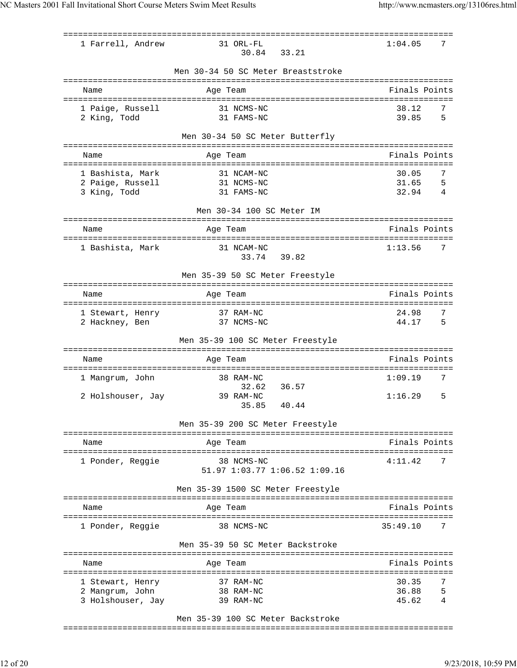| 1 Farrell, Andrew                     | 31 ORL-FL<br>30.84<br>33.21                 | 1:04.05        | 7      |
|---------------------------------------|---------------------------------------------|----------------|--------|
|                                       | Men 30-34 50 SC Meter Breaststroke          |                |        |
| Name                                  | Age Team                                    | Finals Points  |        |
| 1 Paige, Russell<br>2 King, Todd      | 31 NCMS-NC<br>31 FAMS-NC                    | 38.12<br>39.85 | 7<br>5 |
|                                       | Men 30-34 50 SC Meter Butterfly             |                |        |
| Name                                  | Age Team                                    | Finals Points  |        |
| :================<br>1 Bashista, Mark | ============<br>31 NCAM-NC                  | 30.05          | 7      |
| 2 Paige, Russell                      | 31 NCMS-NC                                  | 31.65          | 5      |
| 3 King, Todd                          | 31 FAMS-NC                                  | 32.94          | 4      |
|                                       | Men 30-34 100 SC Meter IM                   |                |        |
| Name                                  | Age Team                                    | Finals Points  |        |
| 1 Bashista, Mark                      | 31 NCAM-NC                                  | 1:13.56        | 7      |
|                                       | 33.74<br>39.82                              |                |        |
|                                       | Men 35-39 50 SC Meter Freestyle             |                |        |
| Name                                  | Age Team                                    | Finals Points  |        |
|                                       |                                             |                |        |
| 1 Stewart, Henry                      | 37 RAM-NC                                   | 24.98          | 7      |
| 2 Hackney, Ben                        | 37 NCMS-NC                                  | 44.17          | 5      |
|                                       | Men 35-39 100 SC Meter Freestyle            |                |        |
| Name                                  | Age Team                                    | Finals Points  |        |
| 1 Mangrum, John                       | 38 RAM-NC                                   | 1:09.19        | 7      |
|                                       | 32.62<br>36.57                              |                |        |
| 2 Holshouser, Jay                     | 39 RAM-NC                                   | 1:16.29        | 5      |
|                                       | 40.44<br>35.85                              |                |        |
|                                       | Men 35-39 200 SC Meter Freestyle            |                |        |
| Name                                  | -----------------<br>Age Team               | Finals Points  |        |
| ==========                            |                                             |                |        |
| 1 Ponder, Reggie                      | 38 NCMS-NC<br>51.97 1:03.77 1:06.52 1:09.16 | 4:11.42        |        |
|                                       | Men 35-39 1500 SC Meter Freestyle           |                |        |
| Name                                  | Age Team                                    | Finals Points  |        |
| 1 Ponder, Reggie                      | 38 NCMS-NC                                  | 35:49.10       | 7      |
|                                       | Men 35-39 50 SC Meter Backstroke            |                |        |
|                                       |                                             |                |        |
| Name                                  | Age Team                                    | Finals Points  |        |
| 1 Stewart, Henry                      | 37 RAM-NC                                   | 30.35          | 7      |
| 2 Mangrum, John                       | 38 RAM-NC                                   | 36.88          | 5      |
| 3 Holshouser, Jay                     | 39 RAM-NC                                   | 45.62          | 4      |
|                                       |                                             |                |        |

## Men 35-39 100 SC Meter Backstroke

===============================================================================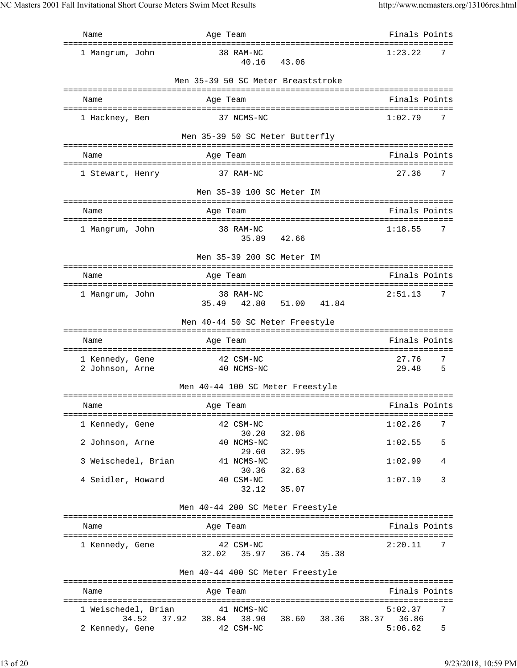| Name                               | Age Team                                                     | Finals Points            |
|------------------------------------|--------------------------------------------------------------|--------------------------|
| 1 Mangrum, John                    | 38 RAM-NC<br>40.16 43.06                                     | 1:23.22<br>7             |
|                                    | Men 35-39 50 SC Meter Breaststroke                           |                          |
| Name                               | Age Team                                                     | Finals Points            |
| 1 Hackney, Ben                     | 37 NCMS-NC                                                   | 1:02.79<br>7             |
|                                    | Men 35-39 50 SC Meter Butterfly                              |                          |
| Name                               | Age Team                                                     | Finals Points            |
| 1 Stewart, Henry                   | 37 RAM-NC                                                    | 27.36<br>7               |
|                                    | Men 35-39 100 SC Meter IM                                    |                          |
| Name                               | Age Team                                                     | Finals Points            |
| 1 Mangrum, John                    | 38 RAM-NC                                                    | 1:18.55<br>7             |
|                                    | 35.89 42.66                                                  |                          |
|                                    | Men 35-39 200 SC Meter IM                                    |                          |
| Name                               | Age Team                                                     | Finals Points            |
| 1 Mangrum, John                    | 38 RAM-NC                                                    | 2:51.13<br>7             |
|                                    | 35.49<br>42.80 51.00<br>41.84                                |                          |
|                                    | Men 40-44 50 SC Meter Freestyle                              |                          |
| Name                               | Age Team                                                     | Finals Points            |
|                                    |                                                              |                          |
| 1 Kennedy, Gene<br>2 Johnson, Arne | 42 CSM-NC<br>40 NCMS-NC                                      | 27.76<br>7<br>29.48<br>5 |
|                                    | Men 40-44 100 SC Meter Freestyle                             |                          |
|                                    |                                                              |                          |
| Name                               | Age Team                                                     | Finals Points            |
| 1 Kennedy, Gene                    | 42 CSM-NC                                                    | 1:02.26<br>7             |
|                                    | 30.20<br>32.06                                               |                          |
| 2 Johnson, Arne                    | 40 NCMS-NC<br>29.60<br>32.95                                 | 1:02.55<br>5             |
| 3 Weischedel, Brian                | 41 NCMS-NC                                                   | 1:02.99<br>4             |
| 4 Seidler, Howard                  | 30.36 32.63<br>40 CSM-NC                                     | 1:07.19<br>3             |
|                                    | 32.12 35.07                                                  |                          |
|                                    | Men 40-44 200 SC Meter Freestyle                             |                          |
| Name                               | Age Team                                                     | Finals Points            |
| 1 Kennedy, Gene                    | 42 CSM-NC                                                    | 2:20.11<br>7             |
|                                    | 32.02 35.97 36.74 35.38                                      |                          |
|                                    | Men 40-44 400 SC Meter Freestyle                             |                          |
| Name                               | Age Team                                                     | Finals Points            |
|                                    | 1 Weischedel, Brian 41 NCMS-NC                               | 7<br>5:02.37             |
| 2 Kennedy, Gene                    | 34.52 37.92 38.84 38.90 38.60 38.36 38.37 36.86<br>42 CSM-NC | 5:06.62<br>5             |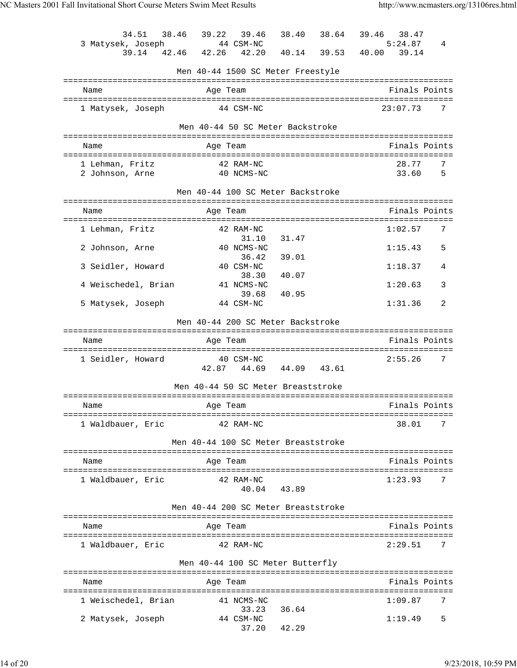| 34.51<br>3 Matysek, Joseph<br>39.14 | 38.46 39.22<br>39.46<br>44 CSM-NC<br>42.46 42.26 42.20 |             | 38.40 38.64 39.46<br>38.47<br>5:24.87<br>40.14 39.53 40.00 39.14 | 4 |
|-------------------------------------|--------------------------------------------------------|-------------|------------------------------------------------------------------|---|
|                                     | Men 40-44 1500 SC Meter Freestyle                      |             |                                                                  |   |
| Name                                | Age Team                                               |             | Finals Points                                                    |   |
| 1 Matysek, Joseph                   | 44 CSM-NC                                              |             | 23:07.73                                                         | 7 |
|                                     | Men 40-44 50 SC Meter Backstroke                       |             |                                                                  |   |
| Name                                | Age Team                                               |             | Finals Points                                                    |   |
| 1 Lehman, Fritz                     | 42 RAM-NC                                              |             | 28.77                                                            | 7 |
| 2 Johnson, Arne                     | 40 NCMS-NC                                             |             | 33.60                                                            | 5 |
|                                     | Men 40-44 100 SC Meter Backstroke                      |             |                                                                  |   |
| Name                                | Age Team                                               |             | Finals Points<br>:=================================              |   |
| 1 Lehman, Fritz                     | 42 RAM-NC                                              |             | 1:02.57                                                          | 7 |
| 2 Johnson, Arne                     | 31.10<br>40 NCMS-NC                                    | 31.47       | 1:15.43                                                          | 5 |
| 3 Seidler, Howard                   | 36.42<br>40 CSM-NC                                     | 39.01       | 1:18.37                                                          | 4 |
| 4 Weischedel, Brian                 | 38.30<br>41 NCMS-NC                                    | 40.07       | 1:20.63                                                          | 3 |
| 5 Matysek, Joseph                   | 39.68<br>44 CSM-NC                                     | 40.95       | 1:31.36                                                          | 2 |
|                                     | Men 40-44 200 SC Meter Backstroke                      |             |                                                                  |   |
|                                     |                                                        |             |                                                                  |   |
| Name                                | Age Team                                               |             | Finals Points                                                    |   |
| 1 Seidler, Howard                   | 40 CSM-NC<br>42.87 44.69 44.09 43.61                   |             | 2:55.26                                                          | 7 |
|                                     | Men 40-44 50 SC Meter Breaststroke                     |             |                                                                  |   |
| Name                                | Age Team                                               |             | Finals Points                                                    |   |
| 1 Waldbauer, Eric                   | 42 RAM-NC                                              |             | 38.01                                                            | 7 |
|                                     | Men 40-44 100 SC Meter Breaststroke                    |             |                                                                  |   |
|                                     |                                                        |             |                                                                  |   |
| Name                                | Age Team                                               |             | Finals Points                                                    |   |
| 1 Waldbauer, Eric                   | 42 RAM-NC                                              | 40.04 43.89 | 1:23.93                                                          | 7 |
|                                     | Men 40-44 200 SC Meter Breaststroke                    |             |                                                                  |   |
| Name                                | Age Team                                               |             | Finals Points                                                    |   |
| 1 Waldbauer, Eric                   | 42 RAM-NC                                              |             | 2:29.51                                                          | 7 |
|                                     |                                                        |             |                                                                  |   |
|                                     | Men 40-44 100 SC Meter Butterfly                       |             |                                                                  |   |
| Name                                | Age Team                                               |             | Finals Points                                                    |   |
| 1 Weischedel, Brian                 | 41 NCMS-NC                                             |             | 1:09.87                                                          | 7 |
| 2 Matysek, Joseph                   | 33.23<br>44 CSM-NC                                     | 36.64       | 1:19.49                                                          | 5 |
|                                     |                                                        | 37.20 42.29 |                                                                  |   |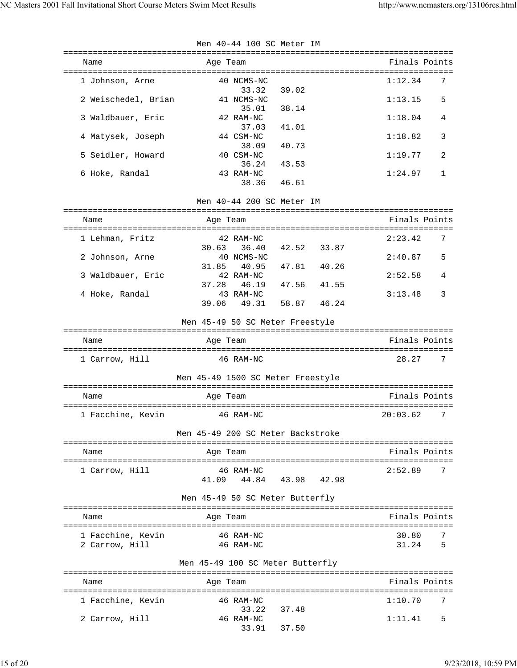|                                     | Men 40-44 100 SC Meter IM                  |                          |
|-------------------------------------|--------------------------------------------|--------------------------|
| Name                                | Age Team                                   | Finals Points            |
| 1 Johnson, Arne                     | 40 NCMS-NC<br>39.02<br>33.32               | 1:12.34<br>7             |
| 2 Weischedel, Brian                 | 41 NCMS-NC<br>38.14<br>35.01               | 1:13.15<br>5             |
| 3 Waldbauer, Eric                   | 42 RAM-NC<br>41.01<br>37.03                | 1:18.04<br>4             |
| 4 Matysek, Joseph                   | 44 CSM-NC<br>38.09<br>40.73                | 1:18.82<br>3             |
| 5 Seidler, Howard                   | 40 CSM-NC<br>36.24<br>43.53                | 1:19.77<br>2             |
| 6 Hoke, Randal                      | 43 RAM-NC<br>38.36<br>46.61                | 1:24.97<br>1             |
|                                     | Men 40-44 200 SC Meter IM                  |                          |
|                                     |                                            |                          |
| Name                                | Age Team                                   | Finals Points            |
| 1 Lehman, Fritz                     | 42 RAM-NC<br>42.52 33.87<br>30.63<br>36.40 | 2:23.42<br>7             |
| 2 Johnson, Arne                     | 40 NCMS-NC<br>31.85<br>40.95  47.81  40.26 | 2:40.87<br>5             |
| 3 Waldbauer, Eric                   | 42 RAM-NC<br>37.28 46.19<br>47.56 41.55    | 2:52.58<br>4             |
| 4 Hoke, Randal                      | 43 RAM-NC<br>49.31<br>58.87 46.24<br>39.06 | 3<br>3:13.48             |
|                                     | Men 45-49 50 SC Meter Freestyle            |                          |
| Name                                | Age Team                                   | Finals Points            |
| 1 Carrow, Hill                      | 46 RAM-NC                                  | 28.27<br>7               |
|                                     | Men 45-49 1500 SC Meter Freestyle          |                          |
| Name                                | Age Team                                   | Finals Points            |
|                                     | 1 Facchine, Kevin 5 46 RAM-NC              | 20:03.62 7               |
|                                     | Men 45-49 200 SC Meter Backstroke          |                          |
| Name                                | Age Team                                   | Finals Points            |
| 1 Carrow, Hill                      | 46 RAM-NC<br>41.09  44.84  43.98  42.98    | 2:52.89<br>7             |
|                                     | Men 45-49 50 SC Meter Butterfly            |                          |
| Name                                | Age Team                                   | Finals Points            |
|                                     |                                            |                          |
| 1 Facchine, Kevin<br>2 Carrow, Hill | 46 RAM-NC<br>46 RAM-NC                     | 30.80<br>7<br>5<br>31.24 |
|                                     | Men 45-49 100 SC Meter Butterfly           |                          |
| Name                                | Age Team                                   | Finals Points            |

## Name **Age Team Age Team** Finals Points =============================================================================== 1 Facchine, Kevin 33.22 37.48 2 Carrow, Hill 46 RAM-NC 1:11.41 5 33.91 37.50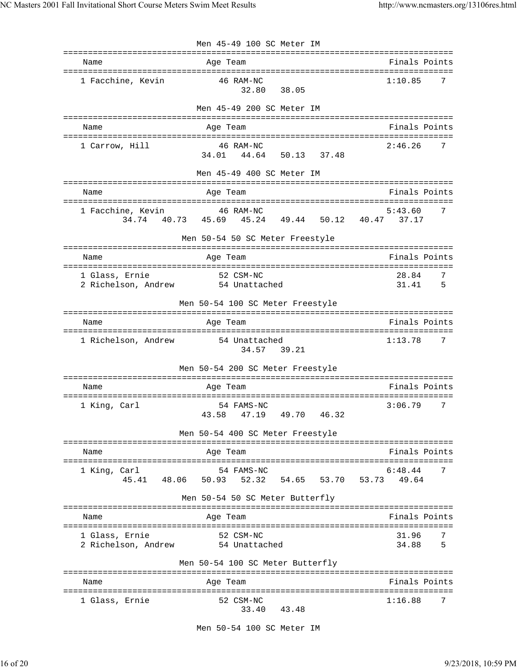|                                                     | Men 45-49 100 SC Meter IM                                              |                                                |
|-----------------------------------------------------|------------------------------------------------------------------------|------------------------------------------------|
| Name                                                | Age Team                                                               | Finals Points<br>============================= |
| 1 Facchine, Kevin                                   | 46 RAM-NC<br>38.05<br>32.80                                            | 1:10.85<br>7                                   |
|                                                     | Men 45-49 200 SC Meter IM                                              |                                                |
| Name                                                | Age Team                                                               | Finals Points                                  |
| 1 Carrow, Hill                                      | 46 RAM-NC<br>44.64<br>50.13 37.48<br>34.01                             | 2:46.26<br>7                                   |
|                                                     | Men 45-49 400 SC Meter IM<br>=====================                     |                                                |
| Name                                                | ========================<br>Age Team<br>=============                  | Finals Points                                  |
| 1 Facchine, Kevin                                   | 46 RAM-NC<br>34.74 40.73 45.69 45.24 49.44 50.12 40.47 37.17           | 7<br>5:43.60                                   |
|                                                     | Men 50-54 50 SC Meter Freestyle                                        |                                                |
| Name                                                | Age Team                                                               | Finals Points                                  |
| 1 Glass, Ernie<br>2 Richelson, Andrew 54 Unattached | 52 CSM-NC                                                              | 28.84<br>7<br>31.41<br>5                       |
|                                                     | Men 50-54 100 SC Meter Freestyle                                       |                                                |
| Name                                                | Age Team                                                               | Finals Points                                  |
| 1 Richelson, Andrew                                 | 54 Unattached<br>34.57 39.21                                           | 1:13.78<br>7                                   |
|                                                     | Men 50-54 200 SC Meter Freestyle                                       |                                                |
| Name                                                | Age Team                                                               | Finals Points                                  |
| 1 King, Carl                                        | 54 FAMS-NC<br>47.19  49.70  46.32<br>43.58                             | 7<br>3:06.79                                   |
|                                                     | Men 50-54 400 SC Meter Freestyle<br>================================== |                                                |
| Name                                                | Age Team                                                               | Finals Points                                  |
| 1 King, Carl<br>45.41<br>48.06                      | 54 FAMS-NC<br>50.93<br>54.65<br>52.32<br>53.70                         | 6:48.44<br>7<br>53.73<br>49.64                 |
|                                                     | Men 50-54 50 SC Meter Butterfly                                        |                                                |
| Name                                                | Age Team                                                               | Finals Points                                  |
| 1 Glass, Ernie<br>2 Richelson, Andrew               | 52 CSM-NC<br>54 Unattached                                             | 31.96<br>34.88<br>5                            |
|                                                     | Men 50-54 100 SC Meter Butterfly                                       |                                                |
| Name                                                | Age Team                                                               | Finals Points                                  |
| 1 Glass, Ernie                                      | 52 CSM-NC<br>33.40<br>43.48                                            | 1:16.88<br>7                                   |

Men 50-54 100 SC Meter IM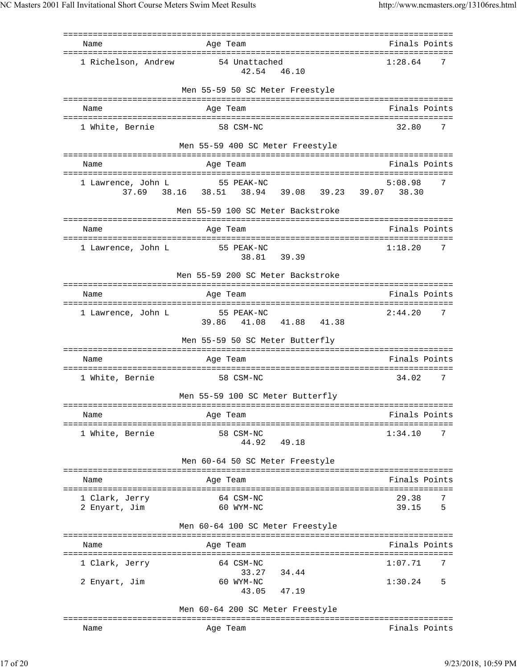| Name                              | Age Team                                               | Finals Points            |
|-----------------------------------|--------------------------------------------------------|--------------------------|
| 1 Richelson, Andrew               | 54 Unattached<br>42.54 46.10                           | 1:28.64<br>7             |
|                                   | Men 55-59 50 SC Meter Freestyle                        |                          |
| Name                              | Age Team                                               | Finals Points            |
|                                   |                                                        |                          |
| 1 White, Bernie                   | 58 CSM-NC                                              | 32.80<br>7               |
|                                   | Men 55-59 400 SC Meter Freestyle                       |                          |
| Name                              | Age Team                                               | Finals Points            |
| 1 Lawrence, John L                | 55 PEAK-NC                                             | 5:08.98<br>7             |
|                                   | 37.69  38.16  38.51  38.94  39.08  39.23  39.07  38.30 |                          |
|                                   | Men 55-59 100 SC Meter Backstroke                      |                          |
| Name                              | Age Team                                               | Finals Points            |
|                                   |                                                        | 7                        |
| l Lawrence, John L                | 55 PEAK-NC<br>38.81<br>39.39                           | 1:18.20                  |
|                                   | Men 55-59 200 SC Meter Backstroke                      |                          |
| Name                              | Age Team                                               | Finals Points            |
| 1 Lawrence, John L                | 55 PEAK-NC                                             | 2:44.20<br>7             |
|                                   | 39.86 41.08 41.88 41.38                                |                          |
|                                   | Men 55-59 50 SC Meter Butterfly                        |                          |
| Name                              | Age Team                                               | Finals Points            |
| 1 White, Bernie                   | 58 CSM-NC                                              | 34.02<br>7               |
|                                   | Men 55-59 100 SC Meter Butterfly                       |                          |
| =========================<br>Name | Age Team                                               | Finals Points            |
|                                   |                                                        |                          |
| 1 White, Bernie                   | 58 CSM-NC<br>44.92<br>49.18                            | 1:34.10<br>7             |
|                                   | Men 60-64 50 SC Meter Freestyle                        |                          |
| Name                              | Age Team                                               | Finals Points            |
| ========================          |                                                        |                          |
| 1 Clark, Jerry<br>2 Enyart, Jim   | 64 CSM-NC<br>60 WYM-NC                                 | 29.38<br>7<br>39.15<br>5 |
|                                   | Men 60-64 100 SC Meter Freestyle                       |                          |
|                                   |                                                        |                          |
| Name                              | Age Team                                               | Finals Points            |
| 1 Clark, Jerry                    | 64 CSM-NC<br>34.44<br>33.27                            | 1:07.71<br>7             |
| 2 Enyart, Jim                     | 60 WYM-NC                                              | 1:30.24<br>5             |
|                                   | 47.19<br>43.05                                         |                          |
|                                   | Men 60-64 200 SC Meter Freestyle                       |                          |
| Name                              | Age Team                                               | Finals Points            |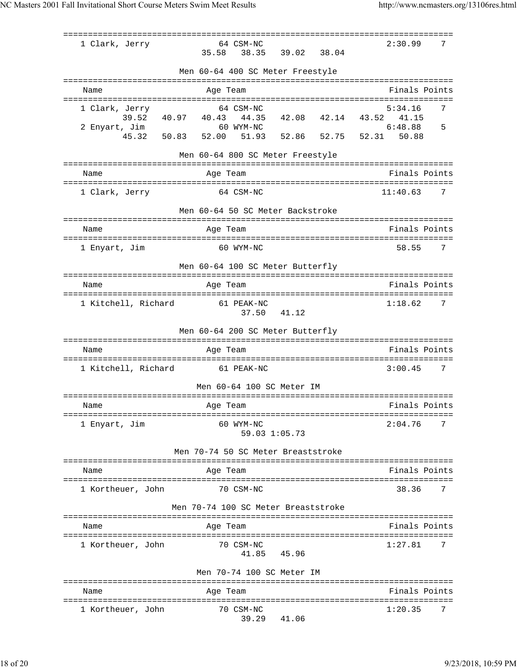|                              | ================                    |             |                              |   |
|------------------------------|-------------------------------------|-------------|------------------------------|---|
| 1 Clark, Jerry               | 64 CSM-NC                           |             | 2:30.99                      | 7 |
|                              | 35.58<br>38.35                      | 39.02 38.04 |                              |   |
|                              | Men 60-64 400 SC Meter Freestyle    |             |                              |   |
|                              |                                     |             |                              |   |
| Name                         | Age Team                            |             | Finals Points                |   |
| 1 Clark, Jerry               | 64 CSM-NC                           |             | 5:34.16                      | 7 |
| 39.52 40.97 40.43            | 44.35                               | 42.08 42.14 | 43.52<br>41.15               |   |
| 2 Enyart, Jim<br>45.32 50.83 | 60 WYM-NC                           |             | 6:48.88<br>52.86 52.75 52.31 | 5 |
|                              | 52.00<br>51.93                      |             | 50.88                        |   |
|                              | Men 60-64 800 SC Meter Freestyle    |             |                              |   |
| Name                         | Age Team                            |             | Finals Points                |   |
| 1 Clark, Jerry               | 64 CSM-NC                           |             | 11:40.63                     | 7 |
|                              | Men 60-64 50 SC Meter Backstroke    |             |                              |   |
| Name                         | Age Team                            |             | Finals Points                |   |
| 1 Enyart, Jim                | 60 WYM-NC                           |             | 58.55                        | 7 |
|                              | Men 60-64 100 SC Meter Butterfly    |             |                              |   |
| Name                         | Age Team                            |             | Finals Points                |   |
| 1 Kitchell, Richard          | 61 PEAK-NC<br>37.50                 | 41.12       | 1:18.62                      | 7 |
|                              | Men 60-64 200 SC Meter Butterfly    |             |                              |   |
| Name                         | Age Team                            |             | Finals Points                |   |
| 1 Kitchell, Richard          | 61 PEAK-NC                          |             | 3:00.45                      | 7 |
|                              | Men 60-64 100 SC Meter IM           |             |                              |   |
| Name                         | Age Team                            |             | Finals Points                |   |
| 1 Enyart, Jim                | 60 WYM-NC<br>59.03 1:05.73          |             | 2:04.76                      | 7 |
|                              | Men 70-74 50 SC Meter Breaststroke  |             |                              |   |
| Name                         | Age Team                            |             | Finals Points                |   |
| 1 Kortheuer, John            | 70 CSM-NC                           |             | 38.36                        | 7 |
|                              | Men 70-74 100 SC Meter Breaststroke |             |                              |   |
| Name                         | Age Team                            |             | Finals Points                |   |
|                              |                                     |             |                              |   |
| 1 Kortheuer, John            | 70 CSM-NC<br>41.85                  | 45.96       | 1:27.81                      | 7 |
|                              | Men 70-74 100 SC Meter IM           |             |                              |   |
| Name                         | Age Team                            |             | Finals Points                |   |
|                              |                                     |             |                              |   |
| 1 Kortheuer, John            | 70 CSM-NC<br>39.29                  | 41.06       | 1:20.35                      | 7 |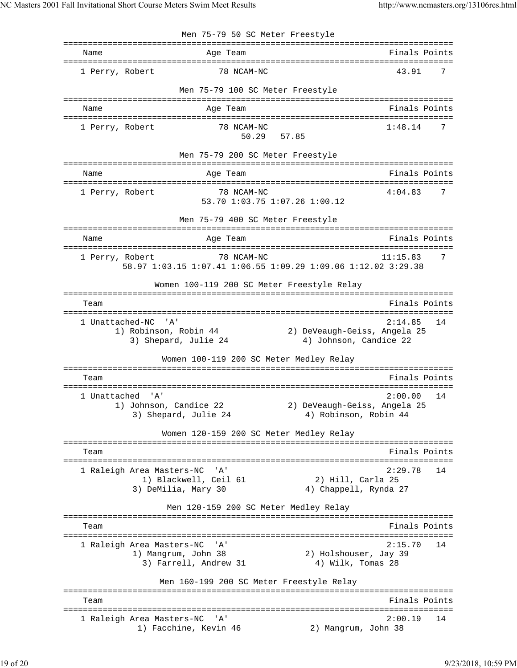Men 75-79 50 SC Meter Freestyle =============================================================================== Name Age Team Age Team Finals Points =============================================================================== 1 Perry, Robert 78 NCAM-NC 43.91 7 Men 75-79 100 SC Meter Freestyle =============================================================================== Name Age Team Finals Points =============================================================================== 1 Perry, Robert 78 NCAM-NC 1:48.14 7 50.29 57.85 Men 75-79 200 SC Meter Freestyle =============================================================================== Name Age Team Age Team Finals Points =============================================================================== 1 Perry, Robert 78 NCAM-NC 4:04.83 7 53.70 1:03.75 1:07.26 1:00.12 Men 75-79 400 SC Meter Freestyle =============================================================================== Name **Age Team Age Team** Finals Points =============================================================================== 1 Perry, Robert 78 NCAM-NC 11:15.83 7 58.97 1:03.15 1:07.41 1:06.55 1:09.29 1:09.06 1:12.02 3:29.38 Women 100-119 200 SC Meter Freestyle Relay =============================================================================== Team Finals Points =============================================================================== 1 Unattached-NC 'A' 2:14.85 14 1) Robinson, Robin 44 2) DeVeaugh-Geiss, Angela 25 3) Shepard, Julie 24 4) Johnson, Candice 22 Women 100-119 200 SC Meter Medley Relay =============================================================================== Team Finals Points =============================================================================== 1 Unattached 'A' 2:00.00 14<br>1) Johnson, Candice 22 2 2) DeVeaugh-Geiss, Angela 25 1) Johnson, Candice 22 3) Shepard, Julie 24 4) Robinson, Robin 44 Women 120-159 200 SC Meter Medley Relay =============================================================================== Team Finals Points =============================================================================== 1 Raleigh Area Masters-NC 'A' 2:29.78 14 1) Blackwell, Ceil 61 2) Hill, Carla 25 3) DeMilia, Mary 30 4) Chappell, Rynda 27 Men 120-159 200 SC Meter Medley Relay =============================================================================== Team Finals Points and the Community of the Community of the Community of the Points Points of the Community of the Community of the Community of the Community of the Community of the Community of the Community of the Comm =============================================================================== 1 Raleigh Area Masters-NC 'A' 2:15.70 14 1) Mangrum, John 38 2) Holshouser, Jay 39 3) Farrell, Andrew 31 4) Wilk, Tomas 28 Men 160-199 200 SC Meter Freestyle Relay =============================================================================== Team Finals Points =============================================================================== 1 Raleigh Area Masters-NC 'A' 2:00.19 14 1) Facchine, Kevin 46 2) Mangrum, John 38